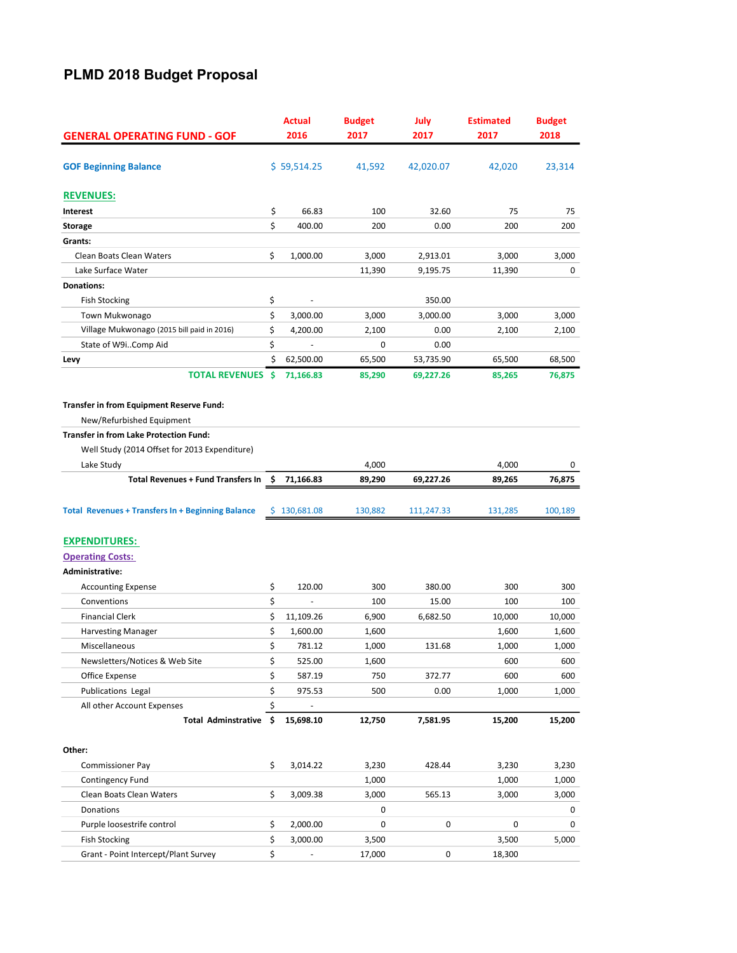## PLMD 2018 Budget Proposal

| <b>GENERAL OPERATING FUND - GOF</b>                                                                                                                                     |          | <b>Actual</b> | <b>Budget</b> | July       | <b>Estimated</b> | <b>Budget</b><br>2018 |  |
|-------------------------------------------------------------------------------------------------------------------------------------------------------------------------|----------|---------------|---------------|------------|------------------|-----------------------|--|
|                                                                                                                                                                         |          | 2016          | 2017          | 2017       | 2017             |                       |  |
| <b>GOF Beginning Balance</b>                                                                                                                                            |          | \$59,514.25   | 41,592        | 42,020.07  | 42,020           | 23,314                |  |
| <b>REVENUES:</b>                                                                                                                                                        |          |               |               |            |                  |                       |  |
| Interest                                                                                                                                                                | \$       | 66.83         | 100           | 32.60      | 75               | 75                    |  |
| <b>Storage</b>                                                                                                                                                          | \$       | 400.00        | 200           | 0.00       | 200              | 200                   |  |
| Grants:                                                                                                                                                                 |          |               |               |            |                  |                       |  |
| Clean Boats Clean Waters                                                                                                                                                | \$       | 1,000.00      | 3,000         | 2,913.01   | 3,000            | 3,000                 |  |
| Lake Surface Water                                                                                                                                                      |          |               | 11,390        | 9,195.75   | 11,390           | 0                     |  |
| <b>Donations:</b>                                                                                                                                                       |          |               |               |            |                  |                       |  |
| <b>Fish Stocking</b>                                                                                                                                                    | \$       |               |               | 350.00     |                  |                       |  |
| Town Mukwonago                                                                                                                                                          | \$       | 3,000.00      | 3,000         | 3,000.00   | 3,000            | 3,000                 |  |
| Village Mukwonago (2015 bill paid in 2016)                                                                                                                              | \$       | 4,200.00      | 2,100         | 0.00       | 2,100            | 2,100                 |  |
| State of W9iComp Aid                                                                                                                                                    | \$       |               | 0             | 0.00       |                  |                       |  |
| Levy                                                                                                                                                                    | \$       | 62,500.00     | 65,500        | 53,735.90  | 65,500           | 68,500                |  |
| <b>TOTAL REVENUES</b>                                                                                                                                                   | Ŝ        | 71,166.83     | 85,290        | 69,227.26  | 85,265           | 76,875                |  |
| Transfer in from Equipment Reserve Fund:<br>New/Refurbished Equipment<br><b>Transfer in from Lake Protection Fund:</b><br>Well Study (2014 Offset for 2013 Expenditure) |          |               |               |            |                  |                       |  |
|                                                                                                                                                                         |          |               | 4,000         |            |                  | 0                     |  |
| Lake Study<br><b>Total Revenues + Fund Transfers In</b>                                                                                                                 | \$       | 71,166.83     | 89,290        | 69,227.26  | 4,000<br>89,265  | 76,875                |  |
| <b>Total Revenues + Transfers In + Beginning Balance</b>                                                                                                                | \$       | 130,681.08    | 130,882       | 111,247.33 | 131,285          | 100,189               |  |
| <b>EXPENDITURES:</b>                                                                                                                                                    |          |               |               |            |                  |                       |  |
| <b>Operating Costs:</b>                                                                                                                                                 |          |               |               |            |                  |                       |  |
| Administrative:                                                                                                                                                         |          |               |               |            |                  |                       |  |
| <b>Accounting Expense</b>                                                                                                                                               | \$       | 120.00        | 300           | 380.00     | 300              | 300                   |  |
| Conventions                                                                                                                                                             | \$       |               | 100           | 15.00      | 100              | 100                   |  |
| <b>Financial Clerk</b>                                                                                                                                                  | \$       | 11,109.26     | 6,900         | 6,682.50   | 10,000           | 10,000                |  |
| <b>Harvesting Manager</b>                                                                                                                                               | \$       | 1,600.00      | 1,600         |            | 1,600            | 1,600                 |  |
| Miscellaneous                                                                                                                                                           | \$       | 781.12        | 1,000         | 131.68     | 1,000            | 1,000                 |  |
| Newsletters/Notices & Web Site                                                                                                                                          | \$       | 525.00        | 1,600         |            | 600              | 600                   |  |
| Office Expense                                                                                                                                                          | \$       | 587.19        | 750           | 372.77     | 600              | 600                   |  |
| <b>Publications Legal</b>                                                                                                                                               | \$       | 975.53        | 500           | 0.00       | 1,000            | 1,000                 |  |
| All other Account Expenses                                                                                                                                              | \$       |               |               |            |                  |                       |  |
| Total Adminstrative \$                                                                                                                                                  |          | 15,698.10     | 12,750        | 7,581.95   | 15,200           | 15,200                |  |
| Other:                                                                                                                                                                  |          |               |               |            |                  |                       |  |
|                                                                                                                                                                         | \$       | 3,014.22      |               |            | 3,230            |                       |  |
| <b>Commissioner Pay</b>                                                                                                                                                 |          |               | 3,230         | 428.44     |                  | 3,230<br>1,000        |  |
| Contingency Fund<br>Clean Boats Clean Waters                                                                                                                            | \$       |               | 1,000         |            | 1,000<br>3,000   |                       |  |
|                                                                                                                                                                         |          | 3,009.38      | 3,000         | 565.13     |                  | 3,000                 |  |
| Donations                                                                                                                                                               |          |               | 0             | 0          |                  | 0                     |  |
| Purple loosestrife control                                                                                                                                              | \$<br>\$ | 2,000.00      | 0             |            | 0                | 0                     |  |
| <b>Fish Stocking</b>                                                                                                                                                    |          | 3,000.00      | 3,500         |            | 3,500            | 5,000                 |  |
| Grant - Point Intercept/Plant Survey                                                                                                                                    | \$       |               | 17,000        | 0          | 18,300           |                       |  |